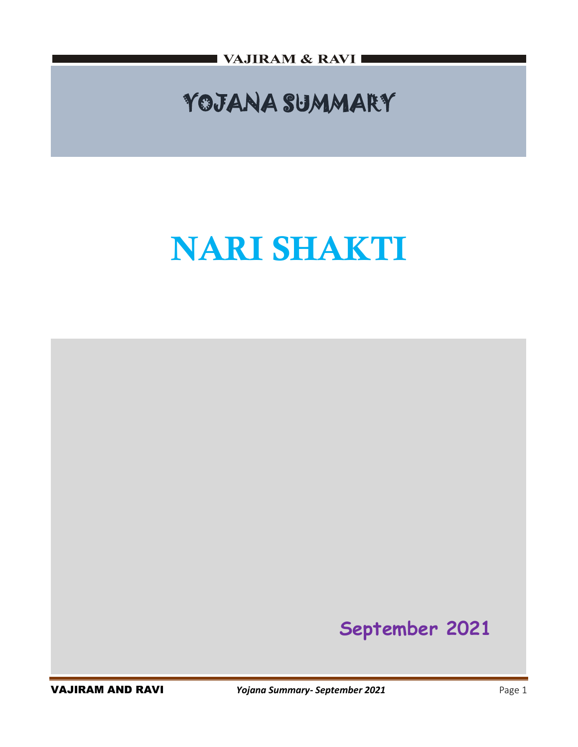VAJIRAM & RAVI I

## YOJANA SUMMARY

# **NARI SHAKTI**

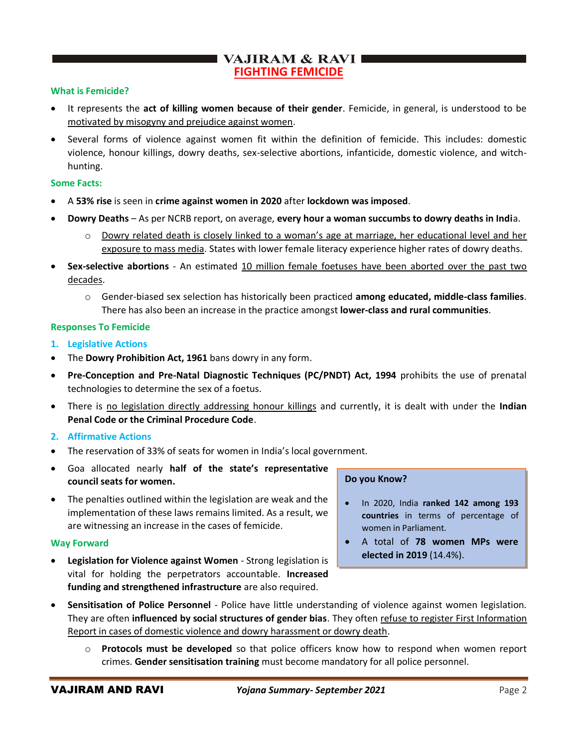## VAJIRAM & RAVI **FIGHTING FEMICIDE**

## **What is Femicide?**

- It represents the **act of killing women because of their gender**. Femicide, in general, is understood to be motivated by misogyny and prejudice against women.
- Several forms of violence against women fit within the definition of femicide. This includes: domestic violence, honour killings, dowry deaths, sex-selective abortions, infanticide, domestic violence, and witchhunting.

#### **Some Facts:**

- A **53% rise** is seen in **crime against women in 2020** after **lockdown was imposed**.
- **Dowry Deaths** As per NCRB report, on average, **every hour a woman succumbs to dowry deaths in Indi**a.
	- o Dowry related death is closely linked to a woman's age at marriage, her educational level and her exposure to mass media. States with lower female literacy experience higher rates of dowry deaths.
- **Sex-selective abortions** An estimated 10 million female foetuses have been aborted over the past two decades.
	- o Gender-biased sex selection has historically been practiced **among educated, middle-class families**. There has also been an increase in the practice amongst **lower-class and rural communities**.

## **Responses To Femicide**

- **1. Legislative Actions**
- The **Dowry Prohibition Act, 1961** bans dowry in any form.
- **Pre-Conception and Pre-Natal Diagnostic Techniques (PC/PNDT) Act, 1994** prohibits the use of prenatal technologies to determine the sex of a foetus.
- There is no legislation directly addressing honour killings and currently, it is dealt with under the **Indian Penal Code or the Criminal Procedure Code**.

## **2. Affirmative Actions**

- The reservation of 33% of seats for women in India's local government.
- Goa allocated nearly **half of the state's representative council seats for women.**
- The penalties outlined within the legislation are weak and the implementation of these laws remains limited. As a result, we are witnessing an increase in the cases of femicide.

#### **Way Forward**

• **Legislation for Violence against Women** - Strong legislation is vital for holding the perpetrators accountable. **Increased funding and strengthened infrastructure** are also required.

#### **Do you Know?**

- In 2020, India **ranked 142 among 193 countries** in terms of percentage of women in Parliament.
- A total of **78 women MPs were elected in 2019** (14.4%).
- **Sensitisation of Police Personnel** Police have little understanding of violence against women legislation. They are often **influenced by social structures of gender bias**. They often refuse to register First Information Report in cases of domestic violence and dowry harassment or dowry death.
	- o **Protocols must be developed** so that police officers know how to respond when women report crimes. **Gender sensitisation training** must become mandatory for all police personnel.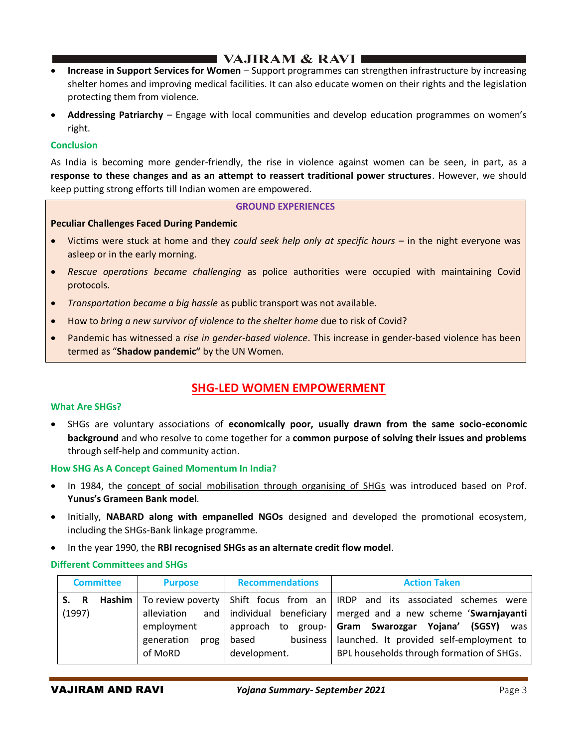## I VAJIRAM & RAVI I

- **Increase in Support Services for Women** Support programmes can strengthen infrastructure by increasing shelter homes and improving medical facilities. It can also educate women on their rights and the legislation protecting them from violence.
- **Addressing Patriarchy** Engage with local communities and develop education programmes on women's right.

## **Conclusion**

As India is becoming more gender-friendly, the rise in violence against women can be seen, in part, as a **response to these changes and as an attempt to reassert traditional power structures**. However, we should keep putting strong efforts till Indian women are empowered.

#### **GROUND EXPERIENCES**

## **Peculiar Challenges Faced During Pandemic**

- Victims were stuck at home and they *could seek help only at specific hours* in the night everyone was asleep or in the early morning.
- *Rescue operations became challenging* as police authorities were occupied with maintaining Covid protocols.
- *Transportation became a big hassle* as public transport was not available.
- How to *bring a new survivor of violence to the shelter home* due to risk of Covid?
- Pandemic has witnessed a *rise in gender-based violence*. This increase in gender-based violence has been termed as "**Shadow pandemic"** by the UN Women.

## **SHG-LED WOMEN EMPOWERMENT**

#### **What Are SHGs?**

• SHGs are voluntary associations of **economically poor, usually drawn from the same socio-economic background** and who resolve to come together for a **common purpose of solving their issues and problems** through self-help and community action.

#### **How SHG As A Concept Gained Momentum In India?**

- In 1984, the concept of social mobilisation through organising of SHGs was introduced based on Prof. **Yunus's Grameen Bank model**.
- Initially, **NABARD along with empanelled NGOs** designed and developed the promotional ecosystem, including the SHGs-Bank linkage programme.
- In the year 1990, the **RBI recognised SHGs as an alternate credit flow model**.

## **Different Committees and SHGs**

| <b>Committee</b> |        |                | <b>Purpose</b>     | <b>Recommendations</b> | <b>Action Taken</b>                                                                                    |
|------------------|--------|----------------|--------------------|------------------------|--------------------------------------------------------------------------------------------------------|
|                  | S. R   | Hashim $\vert$ |                    |                        | To review poverty $\frac{1}{2}$ Shift focus from an $\frac{1}{2}$ IRDP and its associated schemes were |
|                  | (1997) |                | alleviation        |                        | and   individual beneficiary   merged and a new scheme 'Swarnjayanti                                   |
|                  |        |                | employment         | to group-<br>approach  | Gram Swarozgar Yojana' (SGSY)<br>was                                                                   |
|                  |        |                | generation<br>prog | based<br>business      | launched. It provided self-employment to                                                               |
|                  |        |                | of MoRD            | development.           | BPL households through formation of SHGs.                                                              |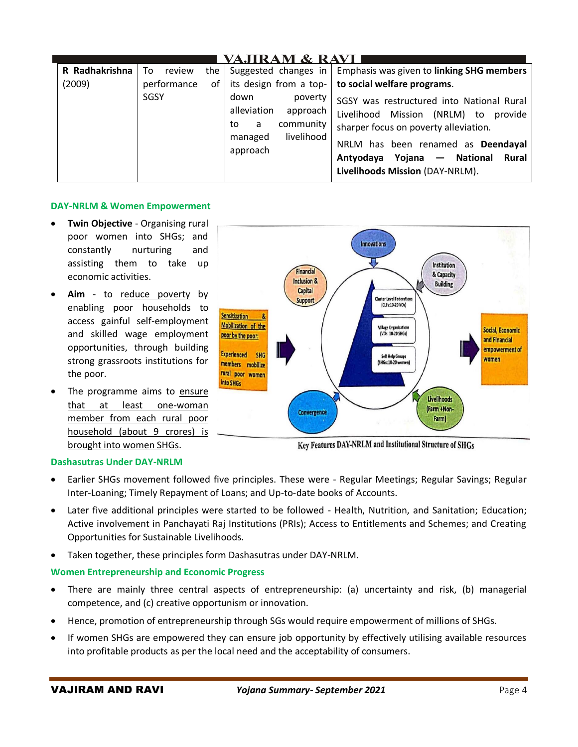| VAJIRAM & RAVI |              |                                                                                                         |                                                                                                                                                                                                                                               |  |  |  |
|----------------|--------------|---------------------------------------------------------------------------------------------------------|-----------------------------------------------------------------------------------------------------------------------------------------------------------------------------------------------------------------------------------------------|--|--|--|
| R Radhakrishna | To<br>review | the   Suggested changes in $ $                                                                          | Emphasis was given to linking SHG members                                                                                                                                                                                                     |  |  |  |
| (2009)         | performance  | of   its design from a top-                                                                             | to social welfare programs.                                                                                                                                                                                                                   |  |  |  |
|                | <b>SGSY</b>  | down<br>poverty<br>alleviation<br>approach<br>community<br>a<br>to<br>livelihood<br>managed<br>approach | SGSY was restructured into National Rural<br>Livelihood Mission (NRLM) to provide<br>sharper focus on poverty alleviation.<br>NRLM has been renamed as Deendayal<br>Antyodaya Yojana — National<br>Rural I<br>Livelihoods Mission (DAY-NRLM). |  |  |  |

## **DAY-NRLM & Women Empowerment**

- **Twin Objective** Organising rural poor women into SHGs; and constantly nurturing and assisting them to take up economic activities.
- Aim to reduce poverty by enabling poor households to access gainful self-employment and skilled wage employment opportunities, through building strong grassroots institutions for the poor.
- The programme aims to ensure that at least one-woman member from each rural poor household (about 9 crores) is brought into women SHGs.



Key Features DAY-NRLM and Institutional Structure of SHGs

## **Dashasutras Under DAY-NRLM**

- Earlier SHGs movement followed five principles. These were Regular Meetings; Regular Savings; Regular Inter-Loaning; Timely Repayment of Loans; and Up-to-date books of Accounts.
- Later five additional principles were started to be followed Health, Nutrition, and Sanitation; Education; Active involvement in Panchayati Raj Institutions (PRIs); Access to Entitlements and Schemes; and Creating Opportunities for Sustainable Livelihoods.
- Taken together, these principles form Dashasutras under DAY-NRLM.

## **Women Entrepreneurship and Economic Progress**

- There are mainly three central aspects of entrepreneurship: (a) uncertainty and risk, (b) managerial competence, and (c) creative opportunism or innovation.
- Hence, promotion of entrepreneurship through SGs would require empowerment of millions of SHGs.
- If women SHGs are empowered they can ensure job opportunity by effectively utilising available resources into profitable products as per the local need and the acceptability of consumers.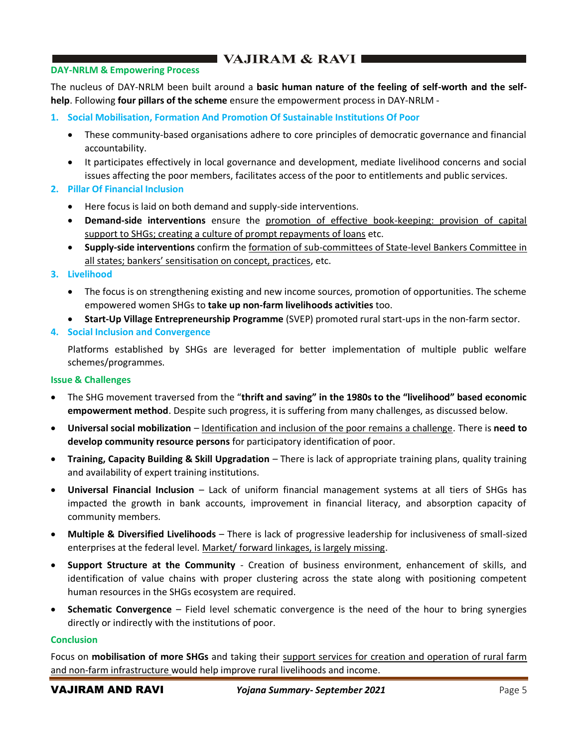## VAJIRAM & RAVI

#### **DAY-NRLM & Empowering Process**

The nucleus of DAY-NRLM been built around a **basic human nature of the feeling of self-worth and the selfhelp**. Following **four pillars of the scheme** ensure the empowerment process in DAY-NRLM -

- **1. Social Mobilisation, Formation And Promotion Of Sustainable Institutions Of Poor**
	- These community-based organisations adhere to core principles of democratic governance and financial accountability.
	- It participates effectively in local governance and development, mediate livelihood concerns and social issues affecting the poor members, facilitates access of the poor to entitlements and public services.
- **2. Pillar Of Financial Inclusion**
	- Here focus is laid on both demand and supply-side interventions.
	- **Demand-side interventions** ensure the promotion of effective book-keeping: provision of capital support to SHGs; creating a culture of prompt repayments of loans etc.
	- **Supply-side interventions** confirm the formation of sub-committees of State-level Bankers Committee in all states; bankers' sensitisation on concept, practices, etc.

#### **3. Livelihood**

- The focus is on strengthening existing and new income sources, promotion of opportunities. The scheme empowered women SHGs to **take up non-farm livelihoods activities** too.
- **Start-Up Village Entrepreneurship Programme** (SVEP) promoted rural start-ups in the non-farm sector.

## **4. Social Inclusion and Convergence**

Platforms established by SHGs are leveraged for better implementation of multiple public welfare schemes/programmes.

#### **Issue & Challenges**

- The SHG movement traversed from the "**thrift and saving" in the 1980s to the "livelihood" based economic empowerment method**. Despite such progress, it is suffering from many challenges, as discussed below.
- **Universal social mobilization** Identification and inclusion of the poor remains a challenge. There is **need to develop community resource persons** for participatory identification of poor.
- **Training, Capacity Building & Skill Upgradation** There is lack of appropriate training plans, quality training and availability of expert training institutions.
- **Universal Financial Inclusion** Lack of uniform financial management systems at all tiers of SHGs has impacted the growth in bank accounts, improvement in financial literacy, and absorption capacity of community members.
- **Multiple & Diversified Livelihoods** There is lack of progressive leadership for inclusiveness of small-sized enterprises at the federal level. Market/ forward linkages, is largely missing.
- **Support Structure at the Community** Creation of business environment, enhancement of skills, and identification of value chains with proper clustering across the state along with positioning competent human resources in the SHGs ecosystem are required.
- **Schematic Convergence** Field level schematic convergence is the need of the hour to bring synergies directly or indirectly with the institutions of poor.

#### **Conclusion**

Focus on **mobilisation of more SHGs** and taking their support services for creation and operation of rural farm and non-farm infrastructure would help improve rural livelihoods and income.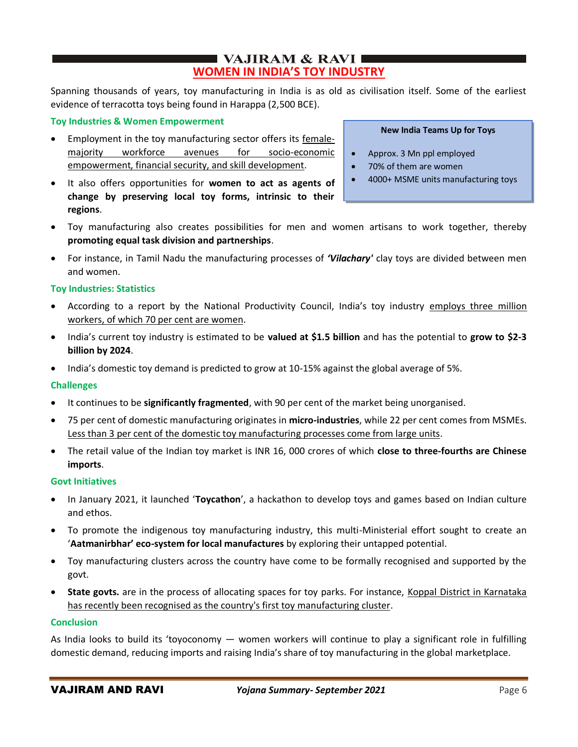## $\blacksquare$  VAJIRAM & RAVI $\blacksquare$ **WOMEN IN INDIA'S TOY INDUSTRY**

Spanning thousands of years, toy manufacturing in India is as old as civilisation itself. Some of the earliest evidence of terracotta toys being found in Harappa (2,500 BCE).

## **Toy Industries & Women Empowerment**

- Employment in the toy manufacturing sector offers its femalemajority workforce avenues for socio-economic empowerment, financial security, and skill development.
- It also offers opportunities for **women to act as agents of change by preserving local toy forms, intrinsic to their regions**.
- Toy manufacturing also creates possibilities for men and women artisans to work together, thereby **promoting equal task division and partnerships**.
- For instance, in Tamil Nadu the manufacturing processes of *'Vilachary'* clay toys are divided between men and women.

## **Toy Industries: Statistics**

- According to a report by the National Productivity Council, India's toy industry employs three million workers, of which 70 per cent are women.
- India's current toy industry is estimated to be **valued at \$1.5 billion** and has the potential to **grow to \$2-3 billion by 2024**.
- India's domestic toy demand is predicted to grow at 10-15% against the global average of 5%.

## **Challenges**

- It continues to be **significantly fragmented**, with 90 per cent of the market being unorganised.
- 75 per cent of domestic manufacturing originates in **micro-industries**, while 22 per cent comes from MSMEs. Less than 3 per cent of the domestic toy manufacturing processes come from large units.
- The retail value of the Indian toy market is INR 16, 000 crores of which **close to three-fourths are Chinese imports**.

## **Govt Initiatives**

- In January 2021, it launched '**Toycathon**', a hackathon to develop toys and games based on Indian culture and ethos.
- To promote the indigenous toy manufacturing industry, this multi-Ministerial effort sought to create an '**Aatmanirbhar' eco-system for local manufactures** by exploring their untapped potential.
- Toy manufacturing clusters across the country have come to be formally recognised and supported by the govt.
- **State govts.** are in the process of allocating spaces for toy parks. For instance, Koppal District in Karnataka has recently been recognised as the country's first toy manufacturing cluster.

## **Conclusion**

As India looks to build its 'toyoconomy — women workers will continue to play a significant role in fulfilling domestic demand, reducing imports and raising India's share of toy manufacturing in the global marketplace.

## **New India Teams Up for Toys**

- Approx. 3 Mn ppl employed
- 70% of them are women
- 4000+ MSME units manufacturing toys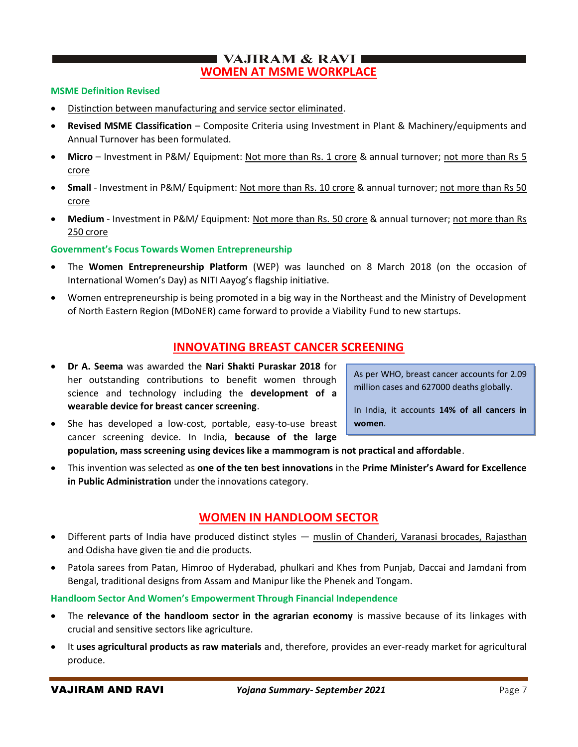## I VAJIRAM  $\&$  RAVI $\blacksquare$ **WOMEN AT MSME WORKPLACE**

## **MSME Definition Revised**

- Distinction between manufacturing and service sector eliminated.
- **Revised MSME Classification** Composite Criteria using Investment in Plant & Machinery/equipments and Annual Turnover has been formulated.
- Micro Investment in P&M/ Equipment: Not more than Rs. 1 crore & annual turnover; not more than Rs 5 crore
- **Small** Investment in P&M/ Equipment: Not more than Rs. 10 crore & annual turnover; not more than Rs 50 crore
- Medium Investment in P&M/ Equipment: Not more than Rs. 50 crore & annual turnover; not more than Rs 250 crore

**Government's Focus Towards Women Entrepreneurship**

- The **Women Entrepreneurship Platform** (WEP) was launched on 8 March 2018 (on the occasion of International Women's Day) as NITI Aayog's flagship initiative.
- Women entrepreneurship is being promoted in a big way in the Northeast and the Ministry of Development of North Eastern Region (MDoNER) came forward to provide a Viability Fund to new startups.

## **INNOVATING BREAST CANCER SCREENING**

- **Dr A. Seema** was awarded the **Nari Shakti Puraskar 2018** for her outstanding contributions to benefit women through science and technology including the **development of a wearable device for breast cancer screening**.
- She has developed a low-cost, portable, easy-to-use breast cancer screening device. In India, **because of the large**

**population, mass screening using devices like a mammogram is not practical and affordable**.

• This invention was selected as **one of the ten best innovations** in the **Prime Minister's Award for Excellence in Public Administration** under the innovations category.

## **WOMEN IN HANDLOOM SECTOR**

- Different parts of India have produced distinct styles muslin of Chanderi, Varanasi brocades, Rajasthan and Odisha have given tie and die products.
- Patola sarees from Patan, Himroo of Hyderabad, phulkari and Khes from Punjab, Daccai and Jamdani from Bengal, traditional designs from Assam and Manipur like the Phenek and Tongam.

**Handloom Sector And Women's Empowerment Through Financial Independence**

- The **relevance of the handloom sector in the agrarian economy** is massive because of its linkages with crucial and sensitive sectors like agriculture.
- It **uses agricultural products as raw materials** and, therefore, provides an ever-ready market for agricultural produce.

As per WHO, breast cancer accounts for 2.09 million cases and 627000 deaths globally.

In India, it accounts **14% of all cancers in women**.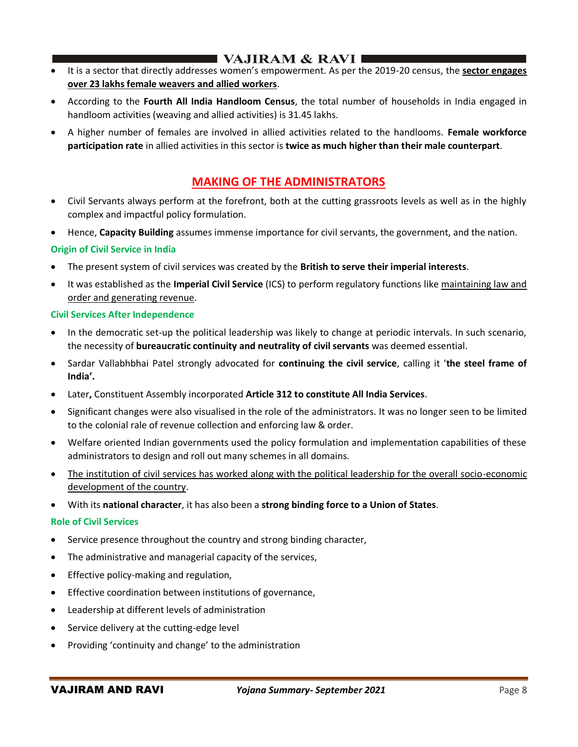## ■ VAJIRAM & RAVI I

- It is a sector that directly addresses women's empowerment. As per the 2019-20 census, the **sector engages over 23 lakhs female weavers and allied workers**.
- According to the **Fourth All India Handloom Census**, the total number of households in India engaged in handloom activities (weaving and allied activities) is 31.45 lakhs.
- A higher number of females are involved in allied activities related to the handlooms. **Female workforce participation rate** in allied activities in this sector is **twice as much higher than their male counterpart**.

## **MAKING OF THE ADMINISTRATORS**

- Civil Servants always perform at the forefront, both at the cutting grassroots levels as well as in the highly complex and impactful policy formulation.
- Hence, **Capacity Building** assumes immense importance for civil servants, the government, and the nation.

## **Origin of Civil Service in India**

- The present system of civil services was created by the **British to serve their imperial interests**.
- It was established as the **Imperial Civil Service** (ICS) to perform regulatory functions like maintaining law and order and generating revenue.

## **Civil Services After Independence**

- In the democratic set-up the political leadership was likely to change at periodic intervals. In such scenario, the necessity of **bureaucratic continuity and neutrality of civil servants** was deemed essential.
- Sardar Vallabhbhai Patel strongly advocated for **continuing the civil service**, calling it '**the steel frame of India'.**
- Later**,** Constituent Assembly incorporated **Article 312 to constitute All India Services**.
- Significant changes were also visualised in the role of the administrators. It was no longer seen to be limited to the colonial rale of revenue collection and enforcing law & order.
- Welfare oriented Indian governments used the policy formulation and implementation capabilities of these administrators to design and roll out many schemes in all domains.
- The institution of civil services has worked along with the political leadership for the overall socio-economic development of the country.
- With its **national character**, it has also been a **strong binding force to a Union of States**.

## **Role of Civil Services**

- Service presence throughout the country and strong binding character,
- The administrative and managerial capacity of the services,
- Effective policy-making and regulation,
- Effective coordination between institutions of governance,
- Leadership at different levels of administration
- Service delivery at the cutting-edge level
- Providing 'continuity and change' to the administration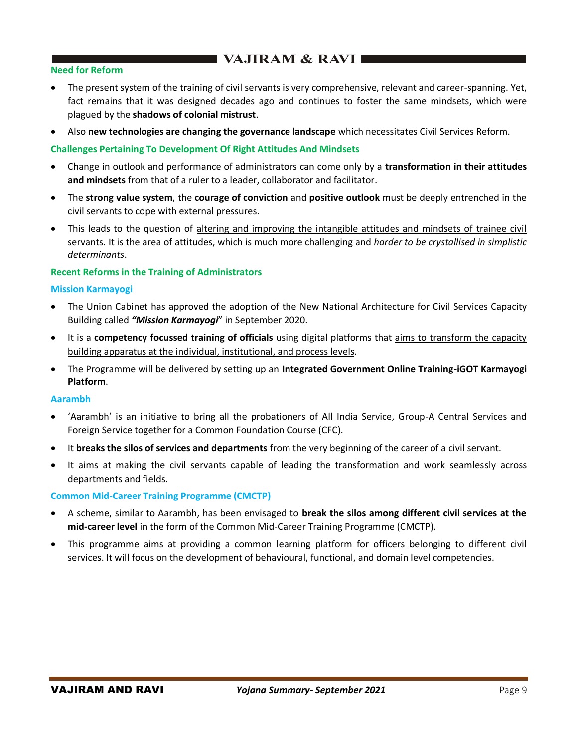## $\blacksquare$  VAJIRAM & RAVI $\blacksquare$

## **Need for Reform**

- The present system of the training of civil servants is very comprehensive, relevant and career-spanning. Yet, fact remains that it was designed decades ago and continues to foster the same mindsets, which were plagued by the **shadows of colonial mistrust**.
- Also **new technologies are changing the governance landscape** which necessitates Civil Services Reform.

## **Challenges Pertaining To Development Of Right Attitudes And Mindsets**

- Change in outlook and performance of administrators can come only by a **transformation in their attitudes and mindsets** from that of a ruler to a leader, collaborator and facilitator.
- The **strong value system**, the **courage of conviction** and **positive outlook** must be deeply entrenched in the civil servants to cope with external pressures.
- This leads to the question of altering and improving the intangible attitudes and mindsets of trainee civil servants. It is the area of attitudes, which is much more challenging and *harder to be crystallised in simplistic determinants*.

## **Recent Reforms in the Training of Administrators**

## **Mission Karmayogi**

- The Union Cabinet has approved the adoption of the New National Architecture for Civil Services Capacity Building called *"Mission Karmayogi*" in September 2020.
- It is a **competency focussed training of officials** using digital platforms that aims to transform the capacity building apparatus at the individual, institutional, and process levels.
- The Programme will be delivered by setting up an **Integrated Government Online Training-iGOT Karmayogi Platform**.

## **Aarambh**

- 'Aarambh' is an initiative to bring all the probationers of All India Service, Group-A Central Services and Foreign Service together for a Common Foundation Course (CFC).
- It **breaks the silos of services and departments** from the very beginning of the career of a civil servant.
- It aims at making the civil servants capable of leading the transformation and work seamlessly across departments and fields.

## **Common Mid-Career Training Programme (CMCTP)**

- A scheme, similar to Aarambh, has been envisaged to **break the silos among different civil services at the mid-career level** in the form of the Common Mid-Career Training Programme (CMCTP).
- This programme aims at providing a common learning platform for officers belonging to different civil services. It will focus on the development of behavioural, functional, and domain level competencies.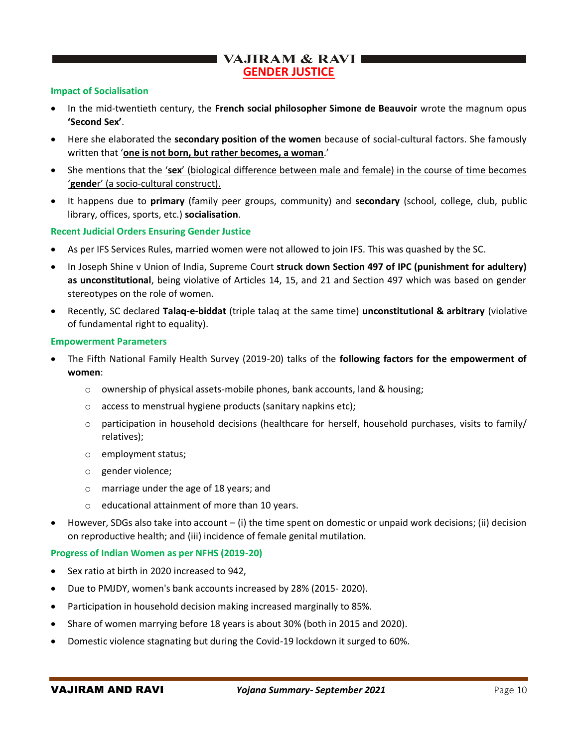## VAJIRAM & RAVI **GENDER JUSTICE**

## **Impact of Socialisation**

- In the mid-twentieth century, the **French social philosopher Simone de Beauvoir** wrote the magnum opus **'Second Sex'**.
- Here she elaborated the **secondary position of the women** because of social-cultural factors. She famously written that '**one is not born, but rather becomes, a woman**.'
- She mentions that the '**sex**' (biological difference between male and female) in the course of time becomes '**gende**r' (a socio-cultural construct).
- It happens due to **primary** (family peer groups, community) and **secondary** (school, college, club, public library, offices, sports, etc.) **socialisation**.

## **Recent Judicial Orders Ensuring Gender Justice**

- As per IFS Services Rules, married women were not allowed to join IFS. This was quashed by the SC.
- In Joseph Shine v Union of India, Supreme Court **struck down Section 497 of IPC (punishment for adultery) as unconstitutional**, being violative of Articles 14, 15, and 21 and Section 497 which was based on gender stereotypes on the role of women.
- Recently, SC declared **Talaq-e-biddat** (triple talaq at the same time) **unconstitutional & arbitrary** (violative of fundamental right to equality).

#### **Empowerment Parameters**

- The Fifth National Family Health Survey (2019-20) talks of the **following factors for the empowerment of women**:
	- o ownership of physical assets-mobile phones, bank accounts, land & housing;
	- o access to menstrual hygiene products (sanitary napkins etc);
	- $\circ$  participation in household decisions (healthcare for herself, household purchases, visits to family/ relatives);
	- o employment status;
	- o gender violence;
	- o marriage under the age of 18 years; and
	- o educational attainment of more than 10 years.
- However, SDGs also take into account (i) the time spent on domestic or unpaid work decisions; (ii) decision on reproductive health; and (iii) incidence of female genital mutilation.

#### **Progress of Indian Women as per NFHS (2019-20)**

- Sex ratio at birth in 2020 increased to 942,
- Due to PMJDY, women's bank accounts increased by 28% (2015- 2020).
- Participation in household decision making increased marginally to 85%.
- Share of women marrying before 18 years is about 30% (both in 2015 and 2020).
- Domestic violence stagnating but during the Covid-19 lockdown it surged to 60%.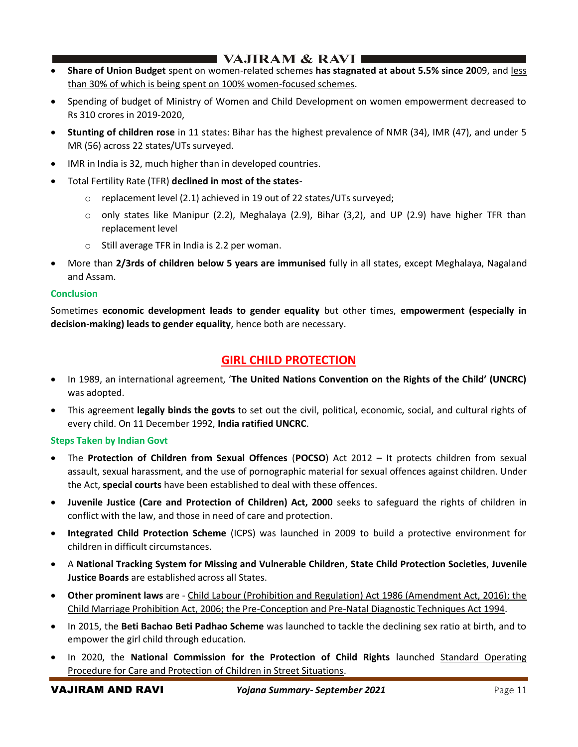## I VAJIRAM & RAVI I

- **Share of Union Budget** spent on women-related schemes **has stagnated at about 5.5% since 20**09, and less than 30% of which is being spent on 100% women-focused schemes.
- Spending of budget of Ministry of Women and Child Development on women empowerment decreased to Rs 310 crores in 2019-2020,
- **Stunting of children rose** in 11 states: Bihar has the highest prevalence of NMR (34), IMR (47), and under 5 MR (56) across 22 states/UTs surveyed.
- IMR in India is 32, much higher than in developed countries.
- Total Fertility Rate (TFR) **declined in most of the states**-
	- $\circ$  replacement level (2.1) achieved in 19 out of 22 states/UTs surveyed;
	- o only states like Manipur (2.2), Meghalaya (2.9), Bihar (3,2), and UP (2.9) have higher TFR than replacement level
	- o Still average TFR in India is 2.2 per woman.
- More than **2/3rds of children below 5 years are immunised** fully in all states, except Meghalaya, Nagaland and Assam.

## **Conclusion**

Sometimes **economic development leads to gender equality** but other times, **empowerment (especially in decision-making) leads to gender equality**, hence both are necessary.

## **GIRL CHILD PROTECTION**

- In 1989, an international agreement, '**The United Nations Convention on the Rights of the Child' (UNCRC)** was adopted.
- This agreement **legally binds the govts** to set out the civil, political, economic, social, and cultural rights of every child. On 11 December 1992, **India ratified UNCRC**.

## **Steps Taken by Indian Govt**

- The **Protection of Children from Sexual Offences** (**POCSO**) Act 2012 It protects children from sexual assault, sexual harassment, and the use of pornographic material for sexual offences against children. Under the Act, **special courts** have been established to deal with these offences.
- **Juvenile Justice (Care and Protection of Children) Act, 2000** seeks to safeguard the rights of children in conflict with the law, and those in need of care and protection.
- **Integrated Child Protection Scheme** (ICPS) was launched in 2009 to build a protective environment for children in difficult circumstances.
- A **National Tracking System for Missing and Vulnerable Children**, **State Child Protection Societies**, **Juvenile Justice Boards** are established across all States.
- **Other prominent laws** are Child Labour (Prohibition and Regulation) Act 1986 (Amendment Act, 2016); the Child Marriage Prohibition Act, 2006; the Pre-Conception and Pre-Natal Diagnostic Techniques Act 1994.
- In 2015, the **Beti Bachao Beti Padhao Scheme** was launched to tackle the declining sex ratio at birth, and to empower the girl child through education.
- In 2020, the **National Commission for the Protection of Child Rights** launched Standard Operating Procedure for Care and Protection of Children in Street Situations.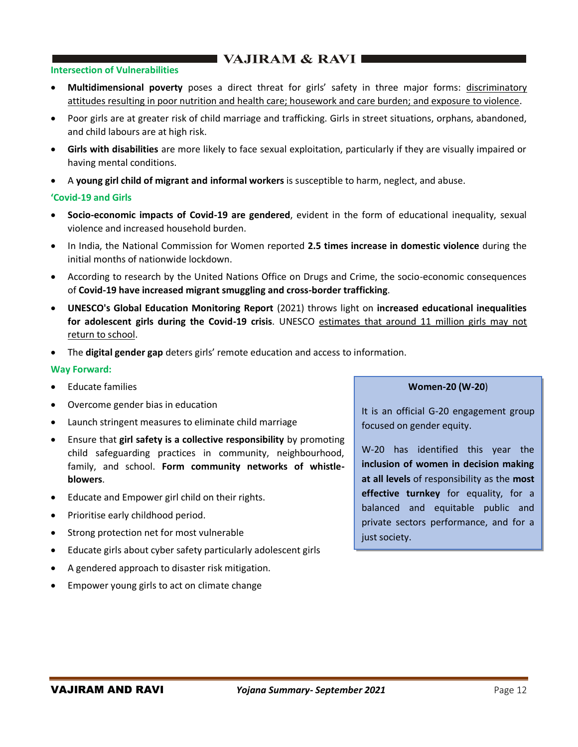## ■ VAJIRAM & RAVI ■

## **Intersection of Vulnerabilities**

- Multidimensional poverty poses a direct threat for girls' safety in three major forms: discriminatory attitudes resulting in poor nutrition and health care; housework and care burden; and exposure to violence.
- Poor girls are at greater risk of child marriage and trafficking. Girls in street situations, orphans, abandoned, and child labours are at high risk.
- **Girls with disabilities** are more likely to face sexual exploitation, particularly if they are visually impaired or having mental conditions.
- A **young girl child of migrant and informal workers** is susceptible to harm, neglect, and abuse.

## **'Covid-19 and Girls**

- **Socio-economic impacts of Covid-19 are gendered**, evident in the form of educational inequality, sexual violence and increased household burden.
- In India, the National Commission for Women reported **2.5 times increase in domestic violence** during the initial months of nationwide lockdown.
- According to research by the United Nations Office on Drugs and Crime, the socio-economic consequences of **Covid-19 have increased migrant smuggling and cross-border trafficking**.
- **UNESCO's Global Education Monitoring Report** (2021) throws light on **increased educational inequalities for adolescent girls during the Covid-19 crisis**. UNESCO estimates that around 11 million girls may not return to school.
- The **digital gender gap** deters girls' remote education and access to information.

## **Way Forward:**

- Educate families
- Overcome gender bias in education
- Launch stringent measures to eliminate child marriage
- Ensure that **girl safety is a collective responsibility** by promoting child safeguarding practices in community, neighbourhood, family, and school. **Form community networks of whistleblowers**.
- Educate and Empower girl child on their rights.
- Prioritise early childhood period.
- Strong protection net for most vulnerable
- Educate girls about cyber safety particularly adolescent girls
- A gendered approach to disaster risk mitigation.
- Empower young girls to act on climate change

#### **Women-20 (W-20**)

It is an official G-20 engagement group focused on gender equity.

W-20 has identified this year the **inclusion of women in decision making at all levels** of responsibility as the **most effective turnkey** for equality, for a balanced and equitable public and private sectors performance, and for a just society.